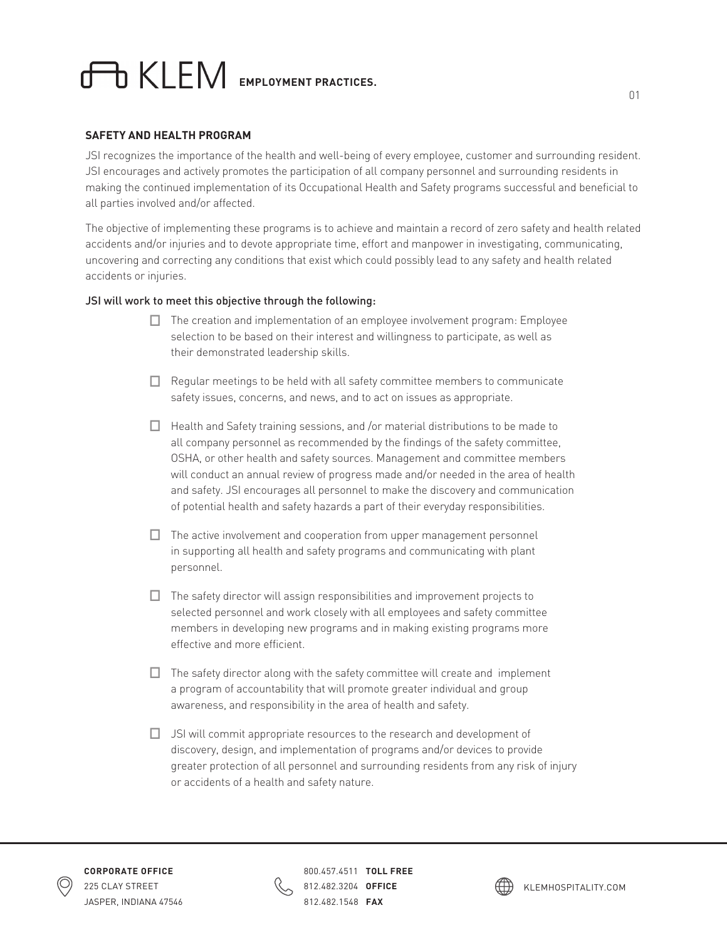## **EMPLOYMENT PRACTICES.**

## **SAFETY AND HEALTH PROGRAM**

JSI recognizes the importance of the health and well-being of every employee, customer and surrounding resident. JSI encourages and actively promotes the participation of all company personnel and surrounding residents in making the continued implementation of its Occupational Health and Safety programs successful and beneficial to all parties involved and/or affected.

The objective of implementing these programs is to achieve and maintain a record of zero safety and health related accidents and/or injuries and to devote appropriate time, effort and manpower in investigating, communicating, uncovering and correcting any conditions that exist which could possibly lead to any safety and health related accidents or injuries.

## JSI will work to meet this objective through the following:

- **☐** The creation and implementation of an employee involvement program: Employee selection to be based on their interest and willingness to participate, as well as their demonstrated leadership skills.
- **☐** Regular meetings to be held with all safety committee members to communicate safety issues, concerns, and news, and to act on issues as appropriate.
- **☐** Health and Safety training sessions, and /or material distributions to be made to all company personnel as recommended by the findings of the safety committee, OSHA, or other health and safety sources. Management and committee members will conduct an annual review of progress made and/or needed in the area of health and safety. JSI encourages all personnel to make the discovery and communication of potential health and safety hazards a part of their everyday responsibilities.
- **☐** The active involvement and cooperation from upper management personnel in supporting all health and safety programs and communicating with plant personnel.
- **☐** The safety director will assign responsibilities and improvement projects to selected personnel and work closely with all employees and safety committee members in developing new programs and in making existing programs more effective and more efficient.
- **☐** The safety director along with the safety committee will create and implement a program of accountability that will promote greater individual and group awareness, and responsibility in the area of health and safety.
- **☐** JSI will commit appropriate resources to the research and development of discovery, design, and implementation of programs and/or devices to provide greater protection of all personnel and surrounding residents from any risk of injury or accidents of a health and safety nature.



800.457.4511 **TOLL FREE**  812.482.3204 **OFFICE**  812.482.1548 **FAX**